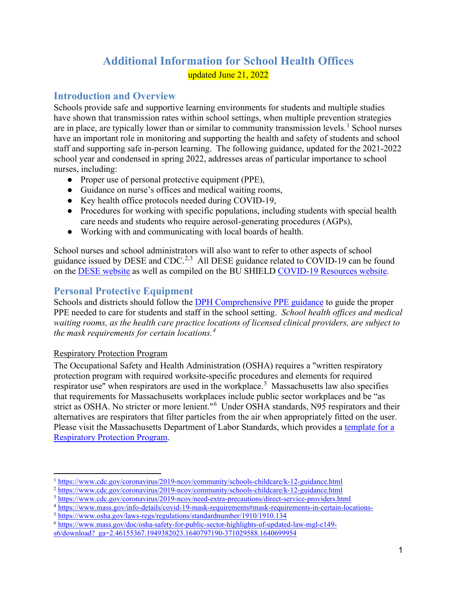# **Additional Information for School Health Offices** updated June 21, 2022

## **Introduction and Overview**

Schools provide safe and supportive learning environments for students and multiple studies have shown that transmission rates within school settings, when multiple prevention strategies are in place, are typically lower than or similar to community transmission levels.<sup>[1](#page-0-0)</sup> School nurses have an important role in monitoring and supporting the health and safety of students and school staff and supporting safe in-person learning. The following guidance, updated for the 2021-2022 school year and condensed in spring 2022, addresses areas of particular importance to school nurses, including:

- Proper use of personal protective equipment (PPE),
- Guidance on nurse's offices and medical waiting rooms,
- Key health office protocols needed during COVID-19,
- Procedures for working with specific populations, including students with special health care needs and students who require aerosol-generating procedures (AGPs),
- Working with and communicating with local boards of health.

School nurses and school administrators will also want to refer to other aspects of school guidance issued by DESE and CDC.<sup>[2,](#page-0-1)[3](#page-0-2)</sup> All DESE guidance related to COVID-19 can be found on the [DESE website](http://www.doe.mass.edu/covid19/on-desktop.html) as well as compiled on the BU SHIELD [COVID-19 Resources website.](https://cme.bu.edu/shield.bu.edu/content/covid-19-binaxnow-resources)

## **Personal Protective Equipment**

Schools and districts should follow the [DPH Comprehensive PPE guidance](https://www.mass.gov/info-details/ppe-testing-and-vaccine-supply-resources-during-covid-19#personal-protective-equipment-(ppe)-during-covid-19-) to guide the proper PPE needed to care for students and staff in the school setting. *School health offices and medical waiting rooms, as the health care practice locations of licensed clinical providers, are subject to the mask requirements for certain locations. [4](#page-0-3)*

## Respiratory Protection Program

The Occupational Safety and Health Administration (OSHA) requires a "written respiratory protection program with required worksite-specific procedures and elements for required respirator use" when respirators are used in the workplace.<sup>[5](#page-0-4)</sup> Massachusetts law also specifies that requirements for Massachusetts workplaces include public sector workplaces and be "as strict as OSHA. No stricter or more lenient."<sup>[6](#page-0-5)</sup> Under OSHA standards, N95 respirators and their alternatives are respirators that filter particles from the air when appropriately fitted on the user. Please visit the Massachusetts Department of Labor Standards, which provides a [template for a](https://www.mass.gov/doc/respiratory-program)  [Respiratory Protection Program.](https://www.mass.gov/doc/respiratory-program)

<span id="page-0-0"></span><sup>&</sup>lt;sup>1</sup> <https://www.cdc.gov/coronavirus/2019-ncov/community/schools-childcare/k-12-guidance.html>

<span id="page-0-1"></span><sup>2</sup> <https://www.cdc.gov/coronavirus/2019-ncov/community/schools-childcare/k-12-guidance.html>

<span id="page-0-2"></span><sup>3</sup> <https://www.cdc.gov/coronavirus/2019-ncov/need-extra-precautions/direct-service-providers.html>

<span id="page-0-3"></span><sup>4</sup> <https://www.mass.gov/info-details/covid-19-mask-requirements#mask-requirements-in-certain-locations->

<span id="page-0-4"></span><sup>5</sup> <https://www.osha.gov/laws-regs/regulations/standardnumber/1910/1910.134>

<span id="page-0-5"></span><sup>6</sup> https://www.mass.gov/doc/osha-safety-for-public-sector-highlights-of-updated-law-mgl-c149 s6/download?\_ga=2.46155367.1949382023.1640797190-371029588.1640699954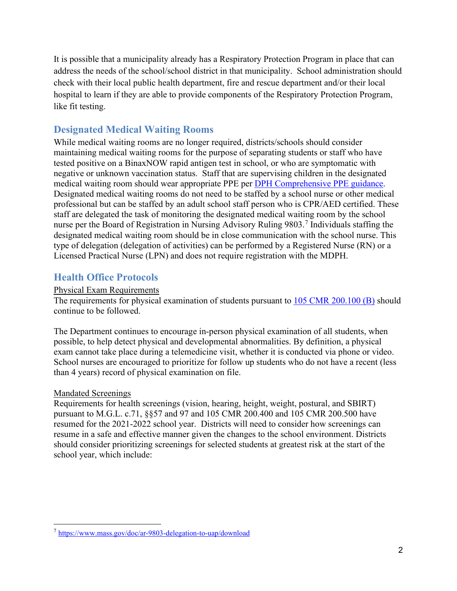It is possible that a municipality already has a Respiratory Protection Program in place that can address the needs of the school/school district in that municipality. School administration should check with their local public health department, fire and rescue department and/or their local hospital to learn if they are able to provide components of the Respiratory Protection Program, like fit testing.

## **Designated Medical Waiting Rooms**

While medical waiting rooms are no longer required, districts/schools should consider maintaining medical waiting rooms for the purpose of separating students or staff who have tested positive on a BinaxNOW rapid antigen test in school, or who are symptomatic with negative or unknown vaccination status. Staff that are supervising children in the designated medical waiting room should wear appropriate PPE per [DPH Comprehensive PPE guidance.](https://www.mass.gov/info-details/ppe-testing-and-vaccine-supply-resources-during-covid-19) Designated medical waiting rooms do not need to be staffed by a school nurse or other medical professional but can be staffed by an adult school staff person who is CPR/AED certified. These staff are delegated the task of monitoring the designated medical waiting room by the school nurse per the Board of Registration in Nursing Advisory Ruling 9803.[7](#page-1-0) Individuals staffing the designated medical waiting room should be in close communication with the school nurse. This type of delegation (delegation of activities) can be performed by a Registered Nurse (RN) or a Licensed Practical Nurse (LPN) and does not require registration with the MDPH.

## **Health Office Protocols**

#### Physical Exam Requirements

The requirements for physical examination of students pursuant to [105 CMR 200.100 \(B\)](https://www.mass.gov/doc/105-cmr-200-physical-examination-of-school-children/download) should continue to be followed.

The Department continues to encourage in-person physical examination of all students, when possible, to help detect physical and developmental abnormalities. By definition, a physical exam cannot take place during a telemedicine visit, whether it is conducted via phone or video. School nurses are encouraged to prioritize for follow up students who do not have a recent (less than 4 years) record of physical examination on file.

#### Mandated Screenings

Requirements for health screenings (vision, hearing, height, weight, postural, and SBIRT) pursuant to M.G.L. c.71, §§57 and 97 and 105 CMR 200.400 and 105 CMR 200.500 have resumed for the 2021-2022 school year. Districts will need to consider how screenings can resume in a safe and effective manner given the changes to the school environment. Districts should consider prioritizing screenings for selected students at greatest risk at the start of the school year, which include:

<span id="page-1-0"></span><sup>7</sup> <https://www.mass.gov/doc/ar-9803-delegation-to-uap/download>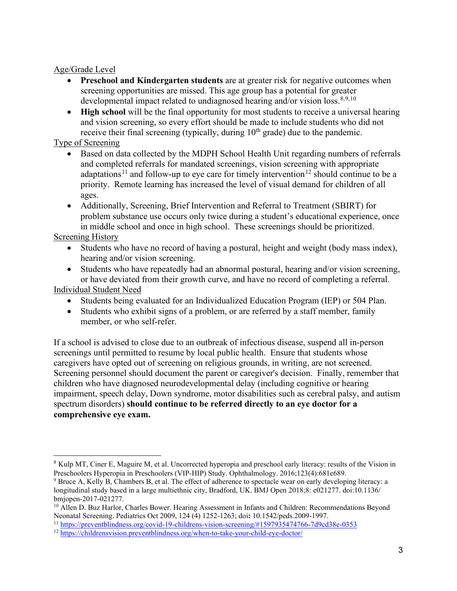#### Age/Grade Level

- **Preschool and Kindergarten students** are at greater risk for negative outcomes when screening opportunities are missed. This age group has a potential for greater developmental impact related to undiagnosed hearing and/or vision loss.<sup>[8](#page-2-0),[9,](#page-2-1)[10](#page-2-2)</sup>
- **High school** will be the final opportunity for most students to receive a universal hearing and vision screening, so every effort should be made to include students who did not receive their final screening (typically, during  $10<sup>th</sup>$  grade) due to the pandemic.

### Type of Screening

- Based on data collected by the MDPH School Health Unit regarding numbers of referrals and completed referrals for mandated screenings, vision screening with appropriate adaptations<sup>[11](#page-2-3)</sup> and follow-up to eye care for timely intervention<sup>[12](#page-2-4)</sup> should continue to be a priority. Remote learning has increased the level of visual demand for children of all ages.
- Additionally, Screening, Brief Intervention and Referral to Treatment (SBIRT) for problem substance use occurs only twice during a student's educational experience, once in middle school and once in high school. These screenings should be prioritized.

### Screening History

- Students who have no record of having a postural, height and weight (body mass index), hearing and/or vision screening.
- Students who have repeatedly had an abnormal postural, hearing and/or vision screening, or have deviated from their growth curve, and have no record of completing a referral.

### Individual Student Need

- Students being evaluated for an Individualized Education Program (IEP) or 504 Plan.
- Students who exhibit signs of a problem, or are referred by a staff member, family member, or who self-refer.

If a school is advised to close due to an outbreak of infectious disease, suspend all in-person screenings until permitted to resume by local public health. Ensure that students whose caregivers have opted out of screening on religious grounds, in writing, are not screened. Screening personnel should document the parent or caregiver's decision. Finally, remember that children who have diagnosed neurodevelopmental delay (including cognitive or hearing impairment, speech delay, Down syndrome, motor disabilities such as cerebral palsy, and autism spectrum disorders) **should continue to be referred directly to an eye doctor for a comprehensive eye exam.**

<span id="page-2-0"></span><sup>&</sup>lt;sup>8</sup> Kulp MT, Ciner E, Maguire M, et al. Uncorrected hyperopia and preschool early literacy: results of the Vision in Preschoolers Hyperopia in Preschoolers (VIP-HIP) Study. Ophthalmology. 2016;123(4):681e689.<br><sup>9</sup> Bruce A, Kelly B, Chambers B, et al. The effect of adherence to spectacle wear on early developing literacy: a

<span id="page-2-1"></span>longitudinal study based in a large multiethnic city, Bradford, UK. BMJ Open 2018;8: e021277. doi:10.1136/ bmjopen-2017-021277.

<span id="page-2-2"></span><sup>&</sup>lt;sup>10</sup> Allen D. Buz Harlor, Charles Bower. Hearing Assessment in Infants and Children: Recommendations Beyond Neonatal Screening. Pediatrics Oct 2009, 124 (4) 1252-1263; doi**:** 10.1542/peds.2009-1997.

<span id="page-2-3"></span><sup>&</sup>lt;sup>11</sup> <https://preventblindness.org/covid-19-childrens-vision-screening/#1597935474766-7d9cd38e-0353>

<span id="page-2-4"></span><sup>&</sup>lt;sup>12</sup> <https://childrensvision.preventblindness.org/when-to-take-your-child-eye-doctor/>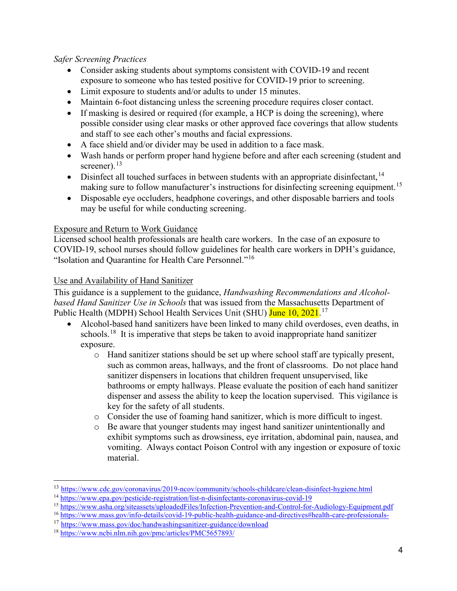#### *Safer Screening Practices*

- Consider asking students about symptoms consistent with COVID-19 and recent exposure to someone who has tested positive for COVID-19 prior to screening.
- Limit exposure to students and/or adults to under 15 minutes.
- Maintain 6-foot distancing unless the screening procedure requires closer contact.
- If masking is desired or required (for example, a HCP is doing the screening), where possible consider using clear masks or other approved face coverings that allow students and staff to see each other's mouths and facial expressions.
- A face shield and/or divider may be used in addition to a face mask.
- Wash hands or perform proper hand hygiene before and after each screening (student and screener).<sup>[13](#page-3-0)</sup>
- Disinfect all touched surfaces in between students with an appropriate disinfectant,  $14$ making sure to follow manufacturer's instructions for disinfecting screening equipment.<sup>[15](#page-3-2)</sup>
- Disposable eye occluders, headphone coverings, and other disposable barriers and tools may be useful for while conducting screening.

## Exposure and Return to Work Guidance

Licensed school health professionals are health care workers. In the case of an exposure to COVID-19, school nurses should follow guidelines for health care workers in DPH's guidance, "Isolation and Quarantine for Health Care Personnel."[16](#page-3-3)

## Use and Availability of Hand Sanitizer

This guidance is a supplement to the guidance, *Handwashing Recommendations and Alcoholbased Hand Sanitizer Use in Schools* that was issued from the Massachusetts Department of Public Health (MDPH) School Health Services Unit (SHU) <mark>June 10, 2021</mark>.<sup>[17](#page-3-4)</sup>

- Alcohol-based hand sanitizers have been linked to many child overdoses, even deaths, in schools.<sup>18</sup> It is imperative that steps be taken to avoid inappropriate hand sanitizer exposure.
	- o Hand sanitizer stations should be set up where school staff are typically present, such as common areas, hallways, and the front of classrooms. Do not place hand sanitizer dispensers in locations that children frequent unsupervised, like bathrooms or empty hallways. Please evaluate the position of each hand sanitizer dispenser and assess the ability to keep the location supervised. This vigilance is key for the safety of all students.
	- o Consider the use of foaming hand sanitizer, which is more difficult to ingest.
	- o Be aware that younger students may ingest hand sanitizer unintentionally and exhibit symptoms such as drowsiness, eye irritation, abdominal pain, nausea, and vomiting. Always contact Poison Control with any ingestion or exposure of toxic material.

<span id="page-3-0"></span><sup>13</sup> <https://www.cdc.gov/coronavirus/2019-ncov/community/schools-childcare/clean-disinfect-hygiene.html>

<span id="page-3-1"></span><sup>14</sup> <https://www.epa.gov/pesticide-registration/list-n-disinfectants-coronavirus-covid-19>

<span id="page-3-2"></span><sup>15</sup> <https://www.asha.org/siteassets/uploadedFiles/Infection-Prevention-and-Control-for-Audiology-Equipment.pdf>

<span id="page-3-3"></span><sup>16</sup> https://www.mass.gov/info-details/covid-19-public-health-guidance-and-directives#health-care-professionals-

<span id="page-3-4"></span><sup>&</sup>lt;sup>17</sup> <https://www.mass.gov/doc/handwashingsanitizer-guidance/download>

<span id="page-3-5"></span><sup>18</sup> <https://www.ncbi.nlm.nih.gov/pmc/articles/PMC5657893/>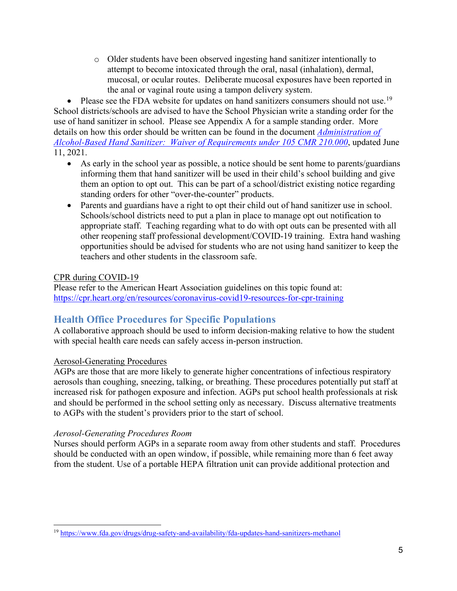o Older students have been observed ingesting hand sanitizer intentionally to attempt to become intoxicated through the oral, nasal (inhalation), dermal, mucosal, or ocular routes. Deliberate mucosal exposures have been reported in the anal or vaginal route using a tampon delivery system.

• Please see the FDA website for updates on hand sanitizers consumers should not use.<sup>19</sup> School districts/schools are advised to have the School Physician write a standing order for the use of hand sanitizer in school. Please see Appendix A for a sample standing order. More details on how this order should be written can be found in the document *[Administration of](https://www.mass.gov/doc/handwashingsanitizer-guidance-and-limited-waiver-of-105-cmr-210000-related-to-sanitizer/download)  [Alcohol-Based Hand Sanitizer: Waiver of Requirements under 105 CMR 210.000](https://www.mass.gov/doc/handwashingsanitizer-guidance-and-limited-waiver-of-105-cmr-210000-related-to-sanitizer/download)*, updated June 11, 2021.

- As early in the school year as possible, a notice should be sent home to parents/guardians informing them that hand sanitizer will be used in their child's school building and give them an option to opt out. This can be part of a school/district existing notice regarding standing orders for other "over-the-counter" products.
- Parents and guardians have a right to opt their child out of hand sanitizer use in school. Schools/school districts need to put a plan in place to manage opt out notification to appropriate staff. Teaching regarding what to do with opt outs can be presented with all other reopening staff professional development/COVID-19 training. Extra hand washing opportunities should be advised for students who are not using hand sanitizer to keep the teachers and other students in the classroom safe.

### CPR during COVID-19

Please refer to the American Heart Association guidelines on this topic found at: <https://cpr.heart.org/en/resources/coronavirus-covid19-resources-for-cpr-training>

## **Health Office Procedures for Specific Populations**

A collaborative approach should be used to inform decision-making relative to how the student with special health care needs can safely access in-person instruction.

## Aerosol-Generating Procedures

AGPs are those that are more likely to generate higher concentrations of infectious respiratory aerosols than coughing, sneezing, talking, or breathing. These procedures potentially put staff at increased risk for pathogen exposure and infection. AGPs put school health professionals at risk and should be performed in the school setting only as necessary. Discuss alternative treatments to AGPs with the student's providers prior to the start of school.

## *Aerosol-Generating Procedures Room*

Nurses should perform AGPs in a separate room away from other students and staff. Procedures should be conducted with an open window, if possible, while remaining more than 6 feet away from the student. Use of a portable HEPA filtration unit can provide additional protection and

<span id="page-4-0"></span><sup>19</sup> <https://www.fda.gov/drugs/drug-safety-and-availability/fda-updates-hand-sanitizers-methanol>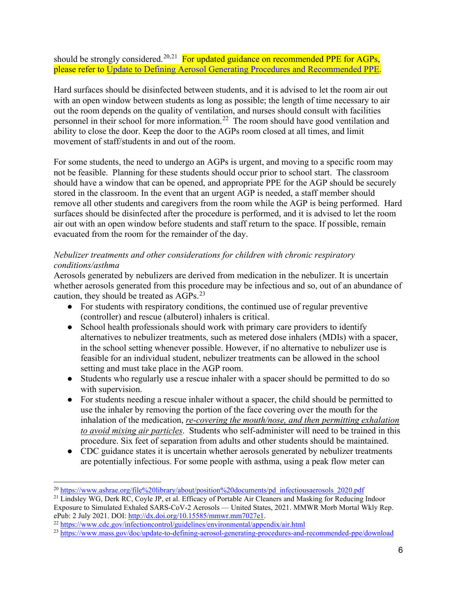should be strongly considered.<sup>[20](#page-5-0),21</sup> For updated guidance on recommended PPE for AGPs, please refer to [Update to Defining Aerosol Generating Procedures and Recommended PPE.](https://www.mass.gov/doc/update-to-defining-aerosol-generating-procedures-and-recommended-ppe/download)

Hard surfaces should be disinfected between students, and it is advised to let the room air out with an open window between students as long as possible; the length of time necessary to air out the room depends on the quality of ventilation, and nurses should consult with facilities personnel in their school for more information.<sup>[22](#page-5-2)</sup> The room should have good ventilation and ability to close the door. Keep the door to the AGPs room closed at all times, and limit movement of staff/students in and out of the room.

For some students, the need to undergo an AGPs is urgent, and moving to a specific room may not be feasible. Planning for these students should occur prior to school start. The classroom should have a window that can be opened, and appropriate PPE for the AGP should be securely stored in the classroom. In the event that an urgent AGP is needed, a staff member should remove all other students and caregivers from the room while the AGP is being performed. Hard surfaces should be disinfected after the procedure is performed, and it is advised to let the room air out with an open window before students and staff return to the space. If possible, remain evacuated from the room for the remainder of the day.

## *Nebulizer treatments and other considerations for children with chronic respiratory conditions/asthma*

Aerosols generated by nebulizers are derived from medication in the nebulizer. It is uncertain whether aerosols generated from this procedure may be infectious and so, out of an abundance of caution, they should be treated as AGPs.<sup>[23](#page-5-3)</sup>

- For students with respiratory conditions, the continued use of regular preventive (controller) and rescue (albuterol) inhalers is critical.
- School health professionals should work with primary care providers to identify alternatives to nebulizer treatments, such as metered dose inhalers (MDIs) with a spacer, in the school setting whenever possible. However, if no alternative to nebulizer use is feasible for an individual student, nebulizer treatments can be allowed in the school setting and must take place in the AGP room.
- Students who regularly use a rescue inhaler with a spacer should be permitted to do so with supervision.
- For students needing a rescue inhaler without a spacer, the child should be permitted to use the inhaler by removing the portion of the face covering over the mouth for the inhalation of the medication, *re-covering the mouth/nose, and then permitting exhalation to avoid mixing air particles*. Students who self-administer will need to be trained in this procedure. Six feet of separation from adults and other students should be maintained.
- CDC guidance states it is uncertain whether aerosols generated by nebulizer treatments are potentially infectious. For some people with asthma, using a peak flow meter can

<span id="page-5-0"></span><sup>&</sup>lt;sup>20</sup> [https://www.ashrae.org/file%20library/about/position%20documents/pd\\_infectiousaerosols\\_2020.pdf](https://www.ashrae.org/file%20library/about/position%20documents/pd_infectiousaerosols_2020.pdf)

<span id="page-5-1"></span><sup>&</sup>lt;sup>21</sup> Lindsley WG, Derk RC, Coyle JP, et al. Efficacy of Portable Air Cleaners and Masking for Reducing Indoor Exposure to Simulated Exhaled SARS-CoV-2 Aerosols — United States, 2021. MMWR Morb Mortal Wkly Rep. ePub: 2 July 2021. DOI: [http://dx.doi.org/10.15585/mmwr.mm7027e1.](http://dx.doi.org/10.15585/mmwr.mm7027e1)

<span id="page-5-2"></span><sup>&</sup>lt;sup>22</sup> <https://www.cdc.gov/infectioncontrol/guidelines/environmental/appendix/air.html>

<span id="page-5-3"></span><sup>&</sup>lt;sup>23</sup> <https://www.mass.gov/doc/update-to-defining-aerosol-generating-procedures-and-recommended-ppe/download>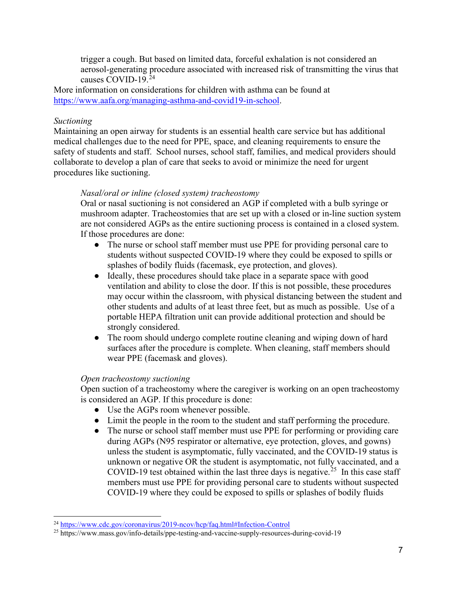trigger a cough. But based on limited data, forceful exhalation is not considered an aerosol-generating procedure associated with increased risk of transmitting the virus that causes COVID-19.<sup>[24](#page-6-0)</sup>

More information on considerations for children with asthma can be found at [https://www.aafa.org/managing-asthma-and-covid19-in-school.](https://www.aafa.org/managing-asthma-and-covid19-in-school)

#### *Suctioning*

Maintaining an open airway for students is an essential health care service but has additional medical challenges due to the need for PPE, space, and cleaning requirements to ensure the safety of students and staff. School nurses, school staff, families, and medical providers should collaborate to develop a plan of care that seeks to avoid or minimize the need for urgent procedures like suctioning.

#### *Nasal/oral or inline (closed system) tracheostomy*

Oral or nasal suctioning is not considered an AGP if completed with a bulb syringe or mushroom adapter. Tracheostomies that are set up with a closed or in-line suction system are not considered AGPs as the entire suctioning process is contained in a closed system. If those procedures are done:

- The nurse or school staff member must use PPE for providing personal care to students without suspected COVID-19 where they could be exposed to spills or splashes of bodily fluids (facemask, eye protection, and gloves).
- Ideally, these procedures should take place in a separate space with good ventilation and ability to close the door. If this is not possible, these procedures may occur within the classroom, with physical distancing between the student and other students and adults of at least three feet, but as much as possible. Use of a portable HEPA filtration unit can provide additional protection and should be strongly considered.
- The room should undergo complete routine cleaning and wiping down of hard surfaces after the procedure is complete. When cleaning, staff members should wear PPE (facemask and gloves).

#### *Open tracheostomy suctioning*

Open suction of a tracheostomy where the caregiver is working on an open tracheostomy is considered an AGP. If this procedure is done:

- Use the AGPs room whenever possible.
- Limit the people in the room to the student and staff performing the procedure.
- The nurse or school staff member must use PPE for performing or providing care during AGPs (N95 respirator or alternative, eye protection, gloves, and gowns) unless the student is asymptomatic, fully vaccinated, and the COVID-19 status is unknown or negative OR the student is asymptomatic, not fully vaccinated, and a COVID-19 test obtained within the last three days is negative.<sup>[25](#page-6-1)</sup> In this case staff members must use PPE for providing personal care to students without suspected COVID-19 where they could be exposed to spills or splashes of bodily fluids

<span id="page-6-0"></span><sup>24</sup> <https://www.cdc.gov/coronavirus/2019-ncov/hcp/faq.html#Infection-Control>

<span id="page-6-1"></span><sup>25</sup> https://www.mass.gov/info-details/ppe-testing-and-vaccine-supply-resources-during-covid-19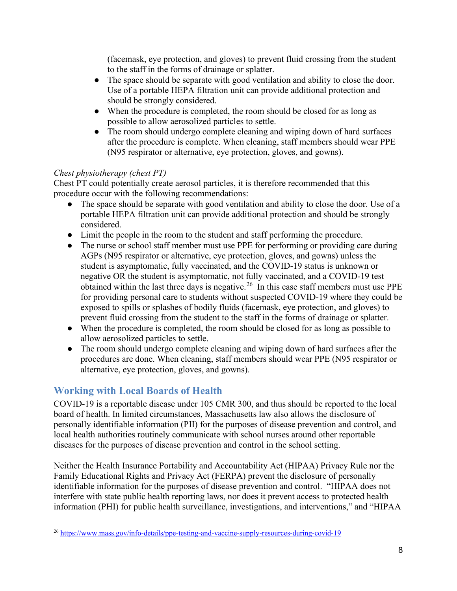(facemask, eye protection, and gloves) to prevent fluid crossing from the student to the staff in the forms of drainage or splatter.

- The space should be separate with good ventilation and ability to close the door. Use of a portable HEPA filtration unit can provide additional protection and should be strongly considered.
- When the procedure is completed, the room should be closed for as long as possible to allow aerosolized particles to settle.
- The room should undergo complete cleaning and wiping down of hard surfaces after the procedure is complete. When cleaning, staff members should wear PPE (N95 respirator or alternative, eye protection, gloves, and gowns).

## *Chest physiotherapy (chest PT)*

Chest PT could potentially create aerosol particles, it is therefore recommended that this procedure occur with the following recommendations:

- The space should be separate with good ventilation and ability to close the door. Use of a portable HEPA filtration unit can provide additional protection and should be strongly considered.
- Limit the people in the room to the student and staff performing the procedure.
- The nurse or school staff member must use PPE for performing or providing care during AGPs (N95 respirator or alternative, eye protection, gloves, and gowns) unless the student is asymptomatic, fully vaccinated, and the COVID-19 status is unknown or negative OR the student is asymptomatic, not fully vaccinated, and a COVID-19 test obtained within the last three days is negative.<sup>26</sup> In this case staff members must use PPE for providing personal care to students without suspected COVID-19 where they could be exposed to spills or splashes of bodily fluids (facemask, eye protection, and gloves) to prevent fluid crossing from the student to the staff in the forms of drainage or splatter.
- When the procedure is completed, the room should be closed for as long as possible to allow aerosolized particles to settle.
- The room should undergo complete cleaning and wiping down of hard surfaces after the procedures are done. When cleaning, staff members should wear PPE (N95 respirator or alternative, eye protection, gloves, and gowns).

# **Working with Local Boards of Health**

COVID-19 is a reportable disease under 105 CMR 300, and thus should be reported to the local board of health. In limited circumstances, Massachusetts law also allows the disclosure of personally identifiable information (PII) for the purposes of disease prevention and control, and local health authorities routinely communicate with school nurses around other reportable diseases for the purposes of disease prevention and control in the school setting.

Neither the Health Insurance Portability and Accountability Act (HIPAA) Privacy Rule nor the Family Educational Rights and Privacy Act (FERPA) prevent the disclosure of personally identifiable information for the purposes of disease prevention and control. "HIPAA does not interfere with state public health reporting laws, nor does it prevent access to protected health information (PHI) for public health surveillance, investigations, and interventions," and "HIPAA

<span id="page-7-0"></span><sup>26</sup> <https://www.mass.gov/info-details/ppe-testing-and-vaccine-supply-resources-during-covid-19>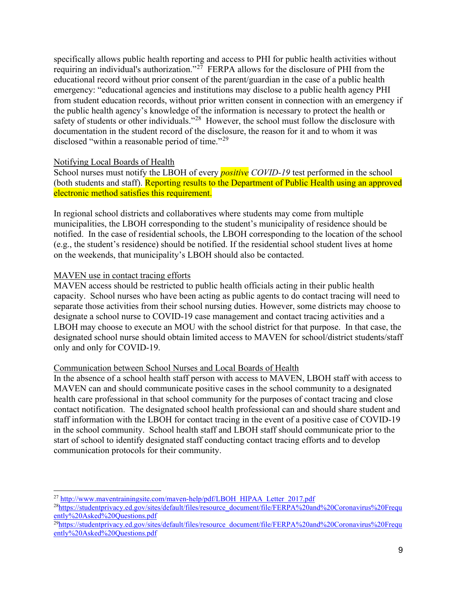specifically allows public health reporting and access to PHI for public health activities without requiring an individual's authorization."<sup>[27](#page-8-0)</sup> FERPA allows for the disclosure of PHI from the educational record without prior consent of the parent/guardian in the case of a public health emergency: "educational agencies and institutions may disclose to a public health agency PHI from student education records, without prior written consent in connection with an emergency if the public health agency's knowledge of the information is necessary to protect the health or safety of students or other individuals."<sup>28</sup> However, the school must follow the disclosure with documentation in the student record of the disclosure, the reason for it and to whom it was disclosed "within a reasonable period of time."<sup>[29](#page-8-2)</sup>

#### Notifying Local Boards of Health

School nurses must notify the LBOH of every *positive COVID-19* test performed in the school (both students and staff). Reporting results to the Department of Public Health using an approved electronic method satisfies this requirement.

In regional school districts and collaboratives where students may come from multiple municipalities, the LBOH corresponding to the student's municipality of residence should be notified. In the case of residential schools, the LBOH corresponding to the location of the school (e.g., the student's residence) should be notified. If the residential school student lives at home on the weekends, that municipality's LBOH should also be contacted.

#### MAVEN use in contact tracing efforts

MAVEN access should be restricted to public health officials acting in their public health capacity. School nurses who have been acting as public agents to do contact tracing will need to separate those activities from their school nursing duties. However, some districts may choose to designate a school nurse to COVID-19 case management and contact tracing activities and a LBOH may choose to execute an MOU with the school district for that purpose. In that case, the designated school nurse should obtain limited access to MAVEN for school/district students/staff only and only for COVID-19.

#### Communication between School Nurses and Local Boards of Health

In the absence of a school health staff person with access to MAVEN, LBOH staff with access to MAVEN can and should communicate positive cases in the school community to a designated health care professional in that school community for the purposes of contact tracing and close contact notification. The designated school health professional can and should share student and staff information with the LBOH for contact tracing in the event of a positive case of COVID-19 in the school community. School health staff and LBOH staff should communicate prior to the start of school to identify designated staff conducting contact tracing efforts and to develop communication protocols for their community.

<span id="page-8-0"></span><sup>&</sup>lt;sup>27</sup> [http://www.maventrainingsite.com/maven-help/pdf/LBOH\\_HIPAA\\_Letter\\_2017.pdf](http://www.maventrainingsite.com/maven-help/pdf/LBOH_HIPAA_Letter_2017.pdf)

<span id="page-8-1"></span><sup>2</sup>[8https://studentprivacy.ed.gov/sites/default/files/resource\\_document/file/FERPA%20and%20Coronavirus%20Frequ](https://studentprivacy.ed.gov/sites/default/files/resource_document/file/FERPA%20and%20Coronavirus%20Frequently%20Asked%20Questions.pdf) [ently%20Asked%20Questions.pdf](https://studentprivacy.ed.gov/sites/default/files/resource_document/file/FERPA%20and%20Coronavirus%20Frequently%20Asked%20Questions.pdf)

<span id="page-8-2"></span><sup>&</sup>lt;sup>29</sup>https://studentprivacy.ed.gov/sites/default/files/resource\_document/file/FERPA%20and%20Coronavirus%20Frequ [ently%20Asked%20Questions.pdf](https://studentprivacy.ed.gov/sites/default/files/resource_document/file/FERPA%20and%20Coronavirus%20Frequently%20Asked%20Questions.pdf)